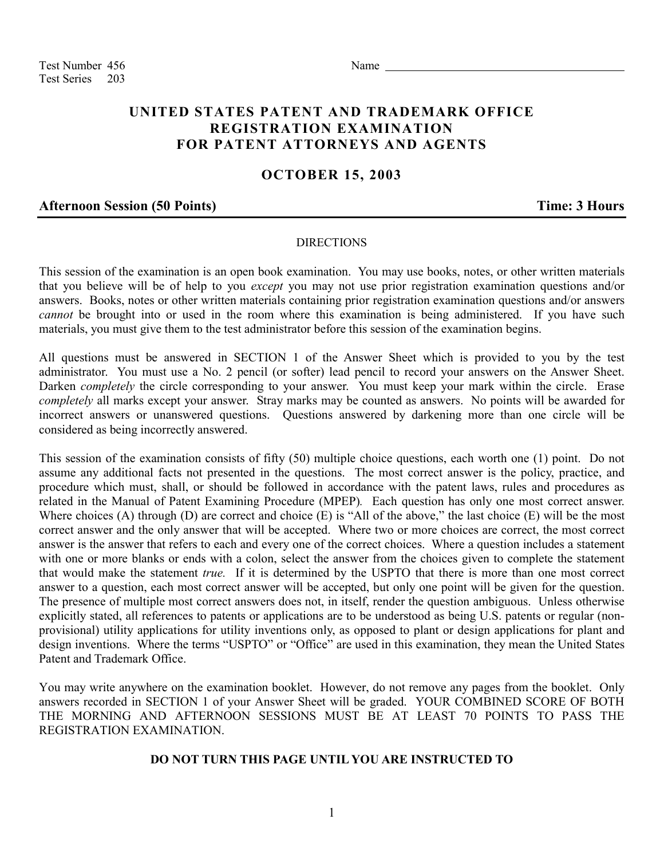Test Number 456 Name Test Series 203

# **UNITED STATES PATENT AND TRADEMARK OFFICE REGISTRATION EXAMINATION FOR PATENT ATTORNEYS AND AGENTS**

# **OCTOBER 15, 2003**

### Afternoon Session (50 Points) **Time: 3 Hours**

#### DIRECTIONS

This session of the examination is an open book examination. You may use books, notes, or other written materials that you believe will be of help to you *except* you may not use prior registration examination questions and/or answers. Books, notes or other written materials containing prior registration examination questions and/or answers *cannot* be brought into or used in the room where this examination is being administered. If you have such materials, you must give them to the test administrator before this session of the examination begins.

All questions must be answered in SECTION 1 of the Answer Sheet which is provided to you by the test administrator. You must use a No. 2 pencil (or softer) lead pencil to record your answers on the Answer Sheet. Darken *completely* the circle corresponding to your answer. You must keep your mark within the circle. Erase *completely* all marks except your answer. Stray marks may be counted as answers. No points will be awarded for incorrect answers or unanswered questions. Questions answered by darkening more than one circle will be considered as being incorrectly answered.

This session of the examination consists of fifty (50) multiple choice questions, each worth one (1) point. Do not assume any additional facts not presented in the questions. The most correct answer is the policy, practice, and procedure which must, shall, or should be followed in accordance with the patent laws, rules and procedures as related in the Manual of Patent Examining Procedure (MPEP)*.* Each question has only one most correct answer. Where choices (A) through (D) are correct and choice (E) is "All of the above," the last choice (E) will be the most correct answer and the only answer that will be accepted. Where two or more choices are correct, the most correct answer is the answer that refers to each and every one of the correct choices. Where a question includes a statement with one or more blanks or ends with a colon, select the answer from the choices given to complete the statement that would make the statement *true.* If it is determined by the USPTO that there is more than one most correct answer to a question, each most correct answer will be accepted, but only one point will be given for the question. The presence of multiple most correct answers does not, in itself, render the question ambiguous. Unless otherwise explicitly stated, all references to patents or applications are to be understood as being U.S. patents or regular (nonprovisional) utility applications for utility inventions only, as opposed to plant or design applications for plant and design inventions. Where the terms "USPTO" or "Office" are used in this examination, they mean the United States Patent and Trademark Office.

You may write anywhere on the examination booklet. However, do not remove any pages from the booklet. Only answers recorded in SECTION 1 of your Answer Sheet will be graded. YOUR COMBINED SCORE OF BOTH THE MORNING AND AFTERNOON SESSIONS MUST BE AT LEAST 70 POINTS TO PASS THE REGISTRATION EXAMINATION.

### **DO NOT TURN THIS PAGE UNTIL YOU ARE INSTRUCTED TO**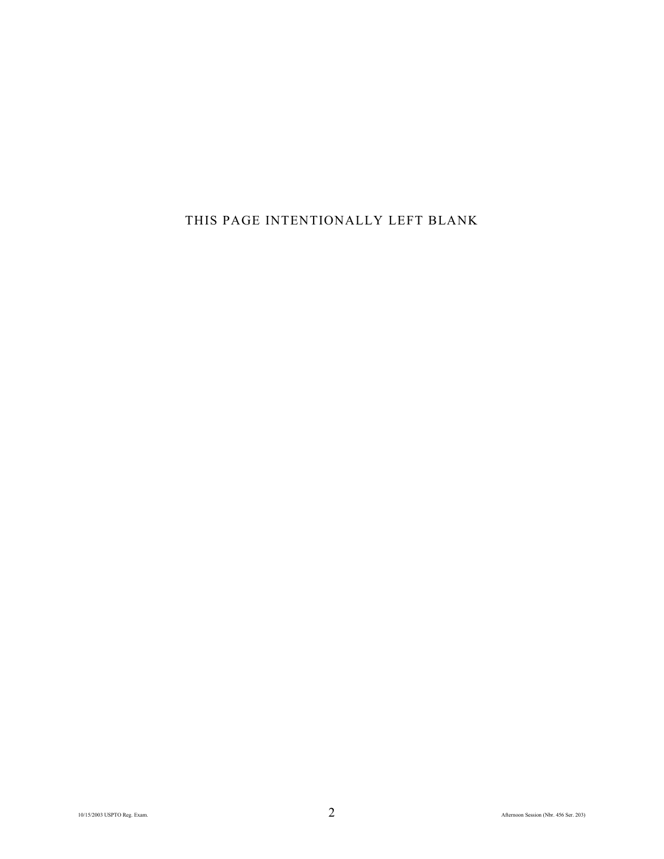THIS PAGE INTENTIONALLY LEFT BLANK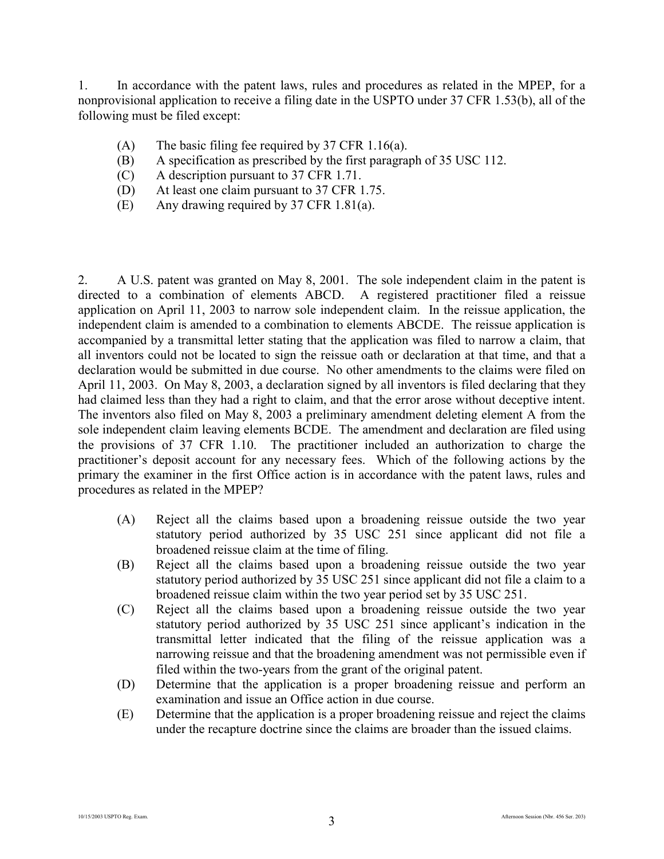1. In accordance with the patent laws, rules and procedures as related in the MPEP, for a nonprovisional application to receive a filing date in the USPTO under 37 CFR 1.53(b), all of the following must be filed except:

- (A) The basic filing fee required by 37 CFR 1.16(a).
- (B) A specification as prescribed by the first paragraph of 35 USC 112.
- (C) A description pursuant to 37 CFR 1.71.
- (D) At least one claim pursuant to 37 CFR 1.75.
- (E) Any drawing required by 37 CFR 1.81(a).

2. A U.S. patent was granted on May 8, 2001. The sole independent claim in the patent is directed to a combination of elements ABCD. A registered practitioner filed a reissue application on April 11, 2003 to narrow sole independent claim. In the reissue application, the independent claim is amended to a combination to elements ABCDE. The reissue application is accompanied by a transmittal letter stating that the application was filed to narrow a claim, that all inventors could not be located to sign the reissue oath or declaration at that time, and that a declaration would be submitted in due course. No other amendments to the claims were filed on April 11, 2003. On May 8, 2003, a declaration signed by all inventors is filed declaring that they had claimed less than they had a right to claim, and that the error arose without deceptive intent. The inventors also filed on May 8, 2003 a preliminary amendment deleting element A from the sole independent claim leaving elements BCDE. The amendment and declaration are filed using the provisions of 37 CFR 1.10. The practitioner included an authorization to charge the practitioner's deposit account for any necessary fees. Which of the following actions by the primary the examiner in the first Office action is in accordance with the patent laws, rules and procedures as related in the MPEP?

- (A) Reject all the claims based upon a broadening reissue outside the two year statutory period authorized by 35 USC 251 since applicant did not file a broadened reissue claim at the time of filing.
- (B) Reject all the claims based upon a broadening reissue outside the two year statutory period authorized by 35 USC 251 since applicant did not file a claim to a broadened reissue claim within the two year period set by 35 USC 251.
- (C) Reject all the claims based upon a broadening reissue outside the two year statutory period authorized by 35 USC 251 since applicant's indication in the transmittal letter indicated that the filing of the reissue application was a narrowing reissue and that the broadening amendment was not permissible even if filed within the two-years from the grant of the original patent.
- (D) Determine that the application is a proper broadening reissue and perform an examination and issue an Office action in due course.
- (E) Determine that the application is a proper broadening reissue and reject the claims under the recapture doctrine since the claims are broader than the issued claims.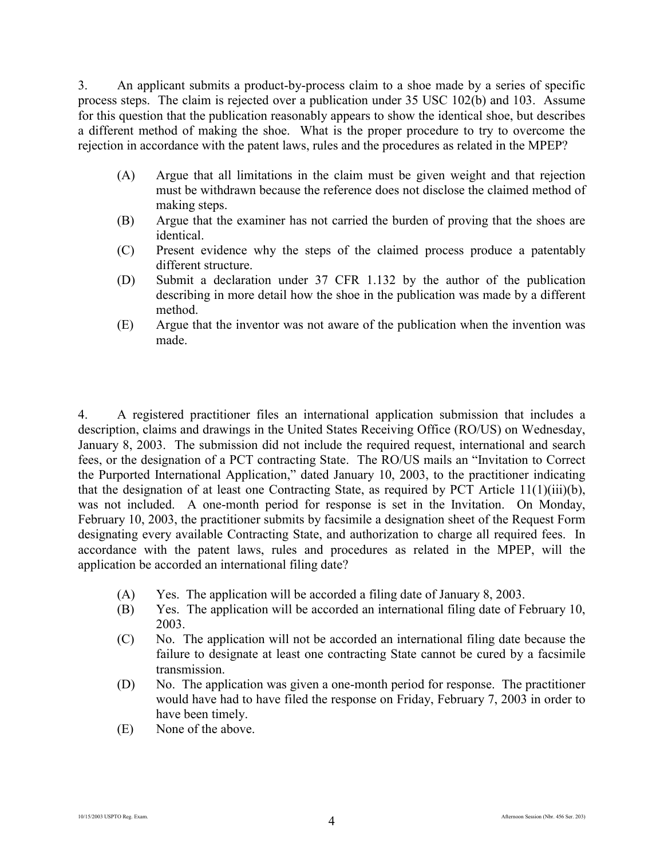3. An applicant submits a product-by-process claim to a shoe made by a series of specific process steps. The claim is rejected over a publication under 35 USC 102(b) and 103. Assume for this question that the publication reasonably appears to show the identical shoe, but describes a different method of making the shoe. What is the proper procedure to try to overcome the rejection in accordance with the patent laws, rules and the procedures as related in the MPEP?

- (A) Argue that all limitations in the claim must be given weight and that rejection must be withdrawn because the reference does not disclose the claimed method of making steps.
- (B) Argue that the examiner has not carried the burden of proving that the shoes are identical.
- (C) Present evidence why the steps of the claimed process produce a patentably different structure.
- (D) Submit a declaration under 37 CFR 1.132 by the author of the publication describing in more detail how the shoe in the publication was made by a different method.
- (E) Argue that the inventor was not aware of the publication when the invention was made.

4. A registered practitioner files an international application submission that includes a description, claims and drawings in the United States Receiving Office (RO/US) on Wednesday, January 8, 2003. The submission did not include the required request, international and search fees, or the designation of a PCT contracting State. The RO/US mails an "Invitation to Correct the Purported International Application," dated January 10, 2003, to the practitioner indicating that the designation of at least one Contracting State, as required by PCT Article  $11(1)(iii)(b)$ , was not included. A one-month period for response is set in the Invitation. On Monday, February 10, 2003, the practitioner submits by facsimile a designation sheet of the Request Form designating every available Contracting State, and authorization to charge all required fees. In accordance with the patent laws, rules and procedures as related in the MPEP, will the application be accorded an international filing date?

- (A) Yes. The application will be accorded a filing date of January 8, 2003.
- (B) Yes. The application will be accorded an international filing date of February 10, 2003.
- (C) No. The application will not be accorded an international filing date because the failure to designate at least one contracting State cannot be cured by a facsimile transmission.
- (D) No. The application was given a one-month period for response. The practitioner would have had to have filed the response on Friday, February 7, 2003 in order to have been timely.
- (E) None of the above.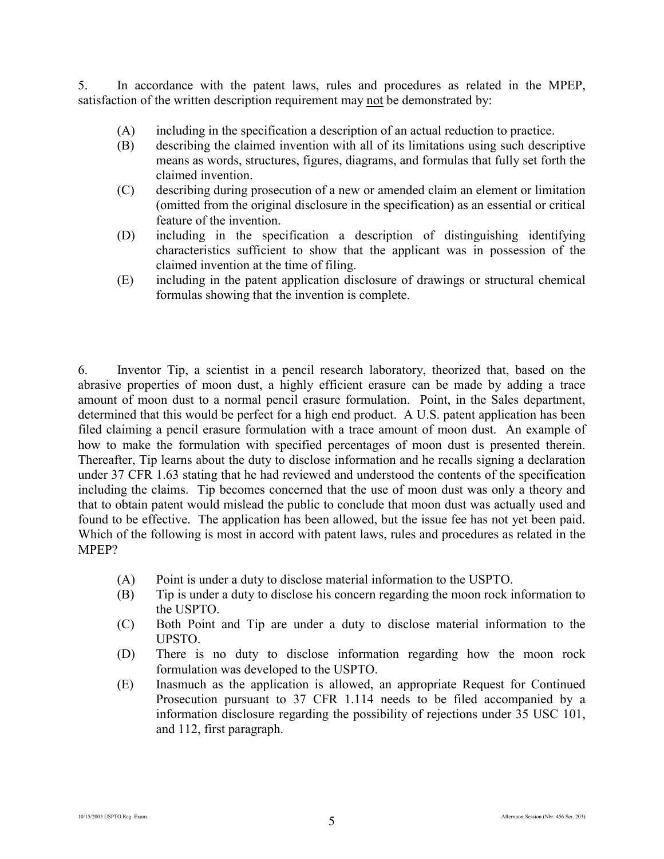5. In accordance with the patent laws, rules and procedures as related in the MPEP, satisfaction of the written description requirement may not be demonstrated by:

- (A) including in the specification a description of an actual reduction to practice.
- (B) describing the claimed invention with all of its limitations using such descriptive means as words, structures, figures, diagrams, and formulas that fully set forth the claimed invention.
- (C) describing during prosecution of a new or amended claim an element or limitation (omitted from the original disclosure in the specification) as an essential or critical feature of the invention.
- (D) including in the specification a description of distinguishing identifying characteristics sufficient to show that the applicant was in possession of the claimed invention at the time of filing.
- (E) including in the patent application disclosure of drawings or structural chemical formulas showing that the invention is complete.

6. Inventor Tip, a scientist in a pencil research laboratory, theorized that, based on the abrasive properties of moon dust, a highly efficient erasure can be made by adding a trace amount of moon dust to a normal pencil erasure formulation. Point, in the Sales department, determined that this would be perfect for a high end product. A U.S. patent application has been filed claiming a pencil erasure formulation with a trace amount of moon dust. An example of how to make the formulation with specified percentages of moon dust is presented therein. Thereafter, Tip learns about the duty to disclose information and he recalls signing a declaration under 37 CFR 1.63 stating that he had reviewed and understood the contents of the specification including the claims. Tip becomes concerned that the use of moon dust was only a theory and that to obtain patent would mislead the public to conclude that moon dust was actually used and found to be effective. The application has been allowed, but the issue fee has not yet been paid. Which of the following is most in accord with patent laws, rules and procedures as related in the MPEP?

- (A) Point is under a duty to disclose material information to the USPTO.
- (B) Tip is under a duty to disclose his concern regarding the moon rock information to the USPTO.
- (C) Both Point and Tip are under a duty to disclose material information to the UPSTO.
- (D) There is no duty to disclose information regarding how the moon rock formulation was developed to the USPTO.
- (E) Inasmuch as the application is allowed, an appropriate Request for Continued Prosecution pursuant to 37 CFR 1.114 needs to be filed accompanied by a information disclosure regarding the possibility of rejections under 35 USC 101, and 112, first paragraph.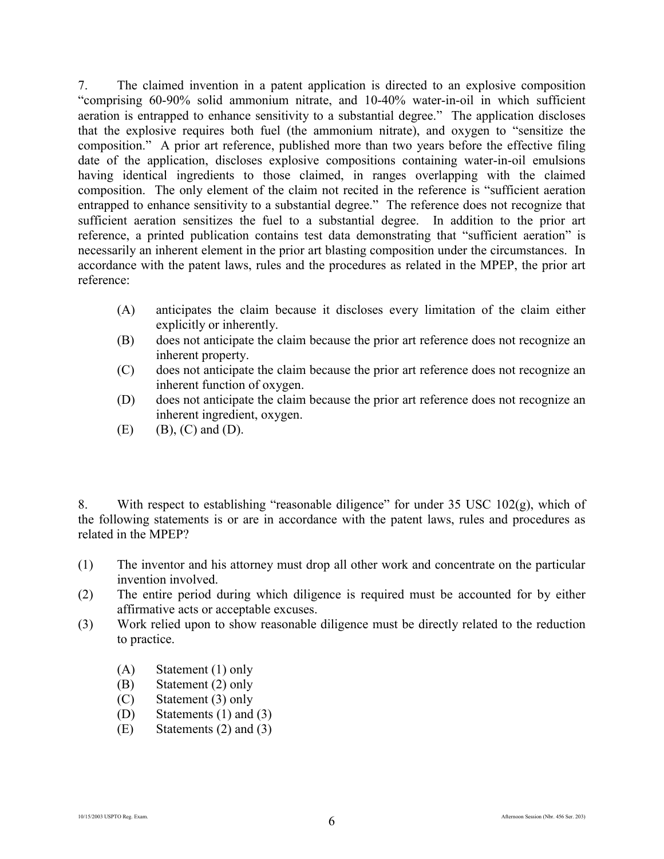7. The claimed invention in a patent application is directed to an explosive composition "comprising 60-90% solid ammonium nitrate, and 10-40% water-in-oil in which sufficient aeration is entrapped to enhance sensitivity to a substantial degree." The application discloses that the explosive requires both fuel (the ammonium nitrate), and oxygen to "sensitize the composition." A prior art reference, published more than two years before the effective filing date of the application, discloses explosive compositions containing water-in-oil emulsions having identical ingredients to those claimed, in ranges overlapping with the claimed composition. The only element of the claim not recited in the reference is "sufficient aeration entrapped to enhance sensitivity to a substantial degree." The reference does not recognize that sufficient aeration sensitizes the fuel to a substantial degree. In addition to the prior art reference, a printed publication contains test data demonstrating that "sufficient aeration" is necessarily an inherent element in the prior art blasting composition under the circumstances. In accordance with the patent laws, rules and the procedures as related in the MPEP, the prior art reference:

- (A) anticipates the claim because it discloses every limitation of the claim either explicitly or inherently.
- (B) does not anticipate the claim because the prior art reference does not recognize an inherent property.
- (C) does not anticipate the claim because the prior art reference does not recognize an inherent function of oxygen.
- (D) does not anticipate the claim because the prior art reference does not recognize an inherent ingredient, oxygen.
- $(E)$  (B),  $(C)$  and  $(D)$ .

8. With respect to establishing "reasonable diligence" for under 35 USC 102(g), which of the following statements is or are in accordance with the patent laws, rules and procedures as related in the MPEP?

- (1) The inventor and his attorney must drop all other work and concentrate on the particular invention involved.
- (2) The entire period during which diligence is required must be accounted for by either affirmative acts or acceptable excuses.
- (3) Work relied upon to show reasonable diligence must be directly related to the reduction to practice.
	- (A) Statement (1) only
	- (B) Statement (2) only
	- (C) Statement (3) only
	- (D) Statements (1) and (3)
	- (E) Statements (2) and (3)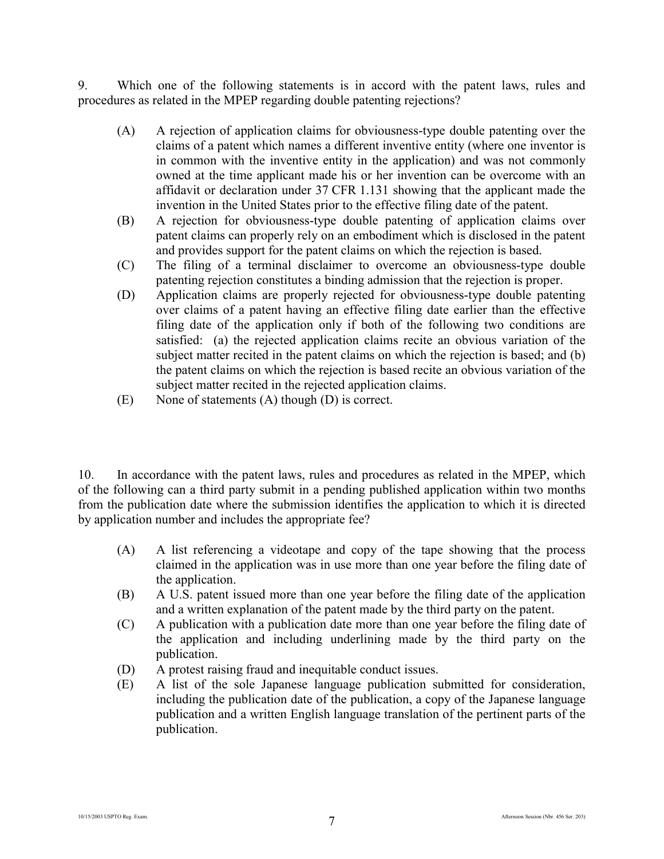9. Which one of the following statements is in accord with the patent laws, rules and procedures as related in the MPEP regarding double patenting rejections?

- (A) A rejection of application claims for obviousness-type double patenting over the claims of a patent which names a different inventive entity (where one inventor is in common with the inventive entity in the application) and was not commonly owned at the time applicant made his or her invention can be overcome with an affidavit or declaration under 37 CFR 1.131 showing that the applicant made the invention in the United States prior to the effective filing date of the patent.
- (B) A rejection for obviousness-type double patenting of application claims over patent claims can properly rely on an embodiment which is disclosed in the patent and provides support for the patent claims on which the rejection is based.
- (C) The filing of a terminal disclaimer to overcome an obviousness-type double patenting rejection constitutes a binding admission that the rejection is proper.
- (D) Application claims are properly rejected for obviousness-type double patenting over claims of a patent having an effective filing date earlier than the effective filing date of the application only if both of the following two conditions are satisfied: (a) the rejected application claims recite an obvious variation of the subject matter recited in the patent claims on which the rejection is based; and (b) the patent claims on which the rejection is based recite an obvious variation of the subject matter recited in the rejected application claims.
- (E) None of statements (A) though (D) is correct.

10. In accordance with the patent laws, rules and procedures as related in the MPEP, which of the following can a third party submit in a pending published application within two months from the publication date where the submission identifies the application to which it is directed by application number and includes the appropriate fee?

- (A) A list referencing a videotape and copy of the tape showing that the process claimed in the application was in use more than one year before the filing date of the application.
- (B) A U.S. patent issued more than one year before the filing date of the application and a written explanation of the patent made by the third party on the patent.
- (C) A publication with a publication date more than one year before the filing date of the application and including underlining made by the third party on the publication.
- (D) A protest raising fraud and inequitable conduct issues.
- (E) A list of the sole Japanese language publication submitted for consideration, including the publication date of the publication, a copy of the Japanese language publication and a written English language translation of the pertinent parts of the publication.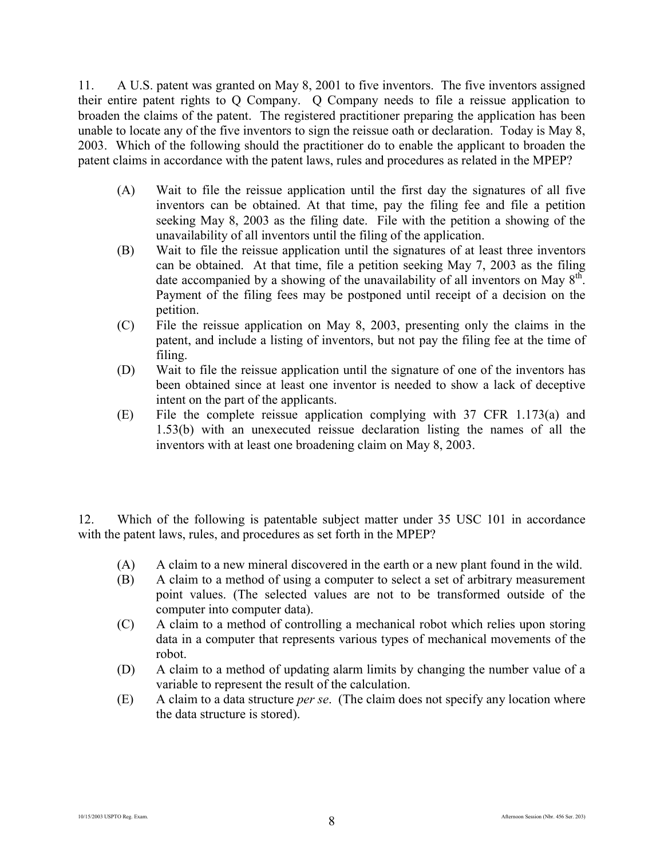11. A U.S. patent was granted on May 8, 2001 to five inventors. The five inventors assigned their entire patent rights to Q Company. Q Company needs to file a reissue application to broaden the claims of the patent. The registered practitioner preparing the application has been unable to locate any of the five inventors to sign the reissue oath or declaration. Today is May 8, 2003. Which of the following should the practitioner do to enable the applicant to broaden the patent claims in accordance with the patent laws, rules and procedures as related in the MPEP?

- (A) Wait to file the reissue application until the first day the signatures of all five inventors can be obtained. At that time, pay the filing fee and file a petition seeking May 8, 2003 as the filing date. File with the petition a showing of the unavailability of all inventors until the filing of the application.
- (B) Wait to file the reissue application until the signatures of at least three inventors can be obtained. At that time, file a petition seeking May 7, 2003 as the filing date accompanied by a showing of the unavailability of all inventors on May 8<sup>th</sup>. Payment of the filing fees may be postponed until receipt of a decision on the petition.
- (C) File the reissue application on May 8, 2003, presenting only the claims in the patent, and include a listing of inventors, but not pay the filing fee at the time of filing.
- (D) Wait to file the reissue application until the signature of one of the inventors has been obtained since at least one inventor is needed to show a lack of deceptive intent on the part of the applicants.
- (E) File the complete reissue application complying with 37 CFR 1.173(a) and 1.53(b) with an unexecuted reissue declaration listing the names of all the inventors with at least one broadening claim on May 8, 2003.

12. Which of the following is patentable subject matter under 35 USC 101 in accordance with the patent laws, rules, and procedures as set forth in the MPEP?

- (A) A claim to a new mineral discovered in the earth or a new plant found in the wild.
- (B) A claim to a method of using a computer to select a set of arbitrary measurement point values. (The selected values are not to be transformed outside of the computer into computer data).
- (C) A claim to a method of controlling a mechanical robot which relies upon storing data in a computer that represents various types of mechanical movements of the robot.
- (D) A claim to a method of updating alarm limits by changing the number value of a variable to represent the result of the calculation.
- (E) A claim to a data structure *per se*. (The claim does not specify any location where the data structure is stored).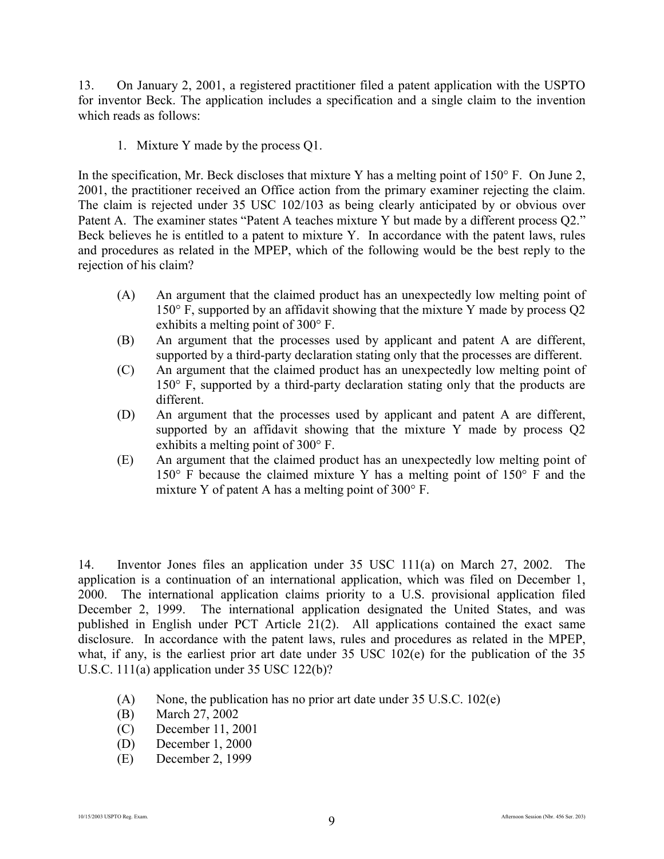13. On January 2, 2001, a registered practitioner filed a patent application with the USPTO for inventor Beck. The application includes a specification and a single claim to the invention which reads as follows:

1. Mixture Y made by the process Q1.

In the specification, Mr. Beck discloses that mixture Y has a melting point of  $150^{\circ}$  F. On June 2, 2001, the practitioner received an Office action from the primary examiner rejecting the claim. The claim is rejected under 35 USC 102/103 as being clearly anticipated by or obvious over Patent A. The examiner states "Patent A teaches mixture Y but made by a different process Q2." Beck believes he is entitled to a patent to mixture Y. In accordance with the patent laws, rules and procedures as related in the MPEP, which of the following would be the best reply to the rejection of his claim?

- (A) An argument that the claimed product has an unexpectedly low melting point of 150° F, supported by an affidavit showing that the mixture Y made by process Q2 exhibits a melting point of 300° F.
- (B) An argument that the processes used by applicant and patent A are different, supported by a third-party declaration stating only that the processes are different.
- (C) An argument that the claimed product has an unexpectedly low melting point of 150° F, supported by a third-party declaration stating only that the products are different.
- (D) An argument that the processes used by applicant and patent A are different, supported by an affidavit showing that the mixture Y made by process Q2 exhibits a melting point of 300° F.
- (E) An argument that the claimed product has an unexpectedly low melting point of 150° F because the claimed mixture Y has a melting point of 150° F and the mixture Y of patent A has a melting point of 300° F.

14. Inventor Jones files an application under 35 USC 111(a) on March 27, 2002. The application is a continuation of an international application, which was filed on December 1, 2000. The international application claims priority to a U.S. provisional application filed December 2, 1999. The international application designated the United States, and was published in English under PCT Article 21(2). All applications contained the exact same disclosure. In accordance with the patent laws, rules and procedures as related in the MPEP, what, if any, is the earliest prior art date under 35 USC 102(e) for the publication of the 35 U.S.C. 111(a) application under 35 USC 122(b)?

- (A) None, the publication has no prior art date under  $35 \text{ U.S.C. } 102(e)$
- (B) March 27, 2002
- (C) December 11, 2001
- (D) December 1, 2000
- (E) December 2, 1999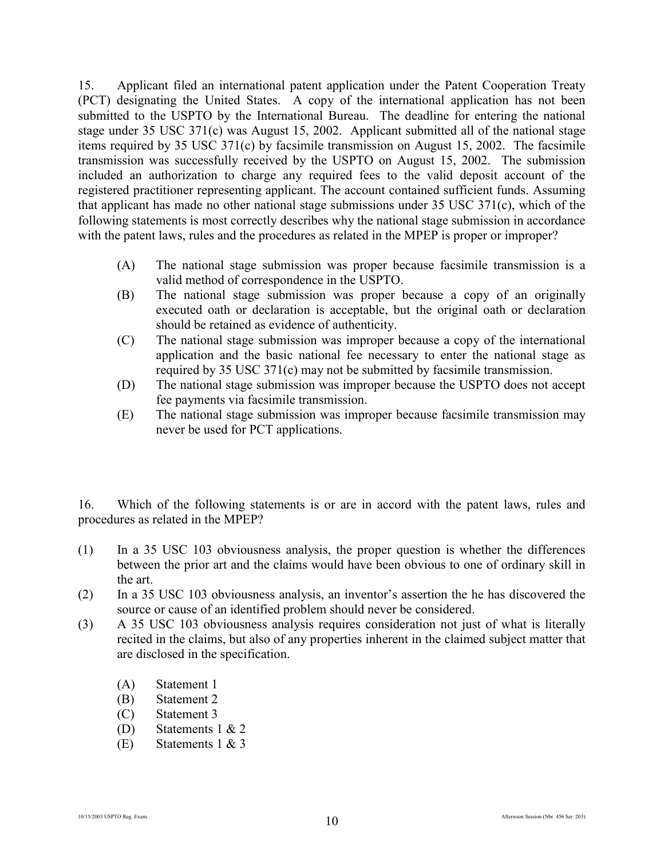15. Applicant filed an international patent application under the Patent Cooperation Treaty (PCT) designating the United States. A copy of the international application has not been submitted to the USPTO by the International Bureau. The deadline for entering the national stage under 35 USC 371(c) was August 15, 2002. Applicant submitted all of the national stage items required by 35 USC 371(c) by facsimile transmission on August 15, 2002. The facsimile transmission was successfully received by the USPTO on August 15, 2002. The submission included an authorization to charge any required fees to the valid deposit account of the registered practitioner representing applicant. The account contained sufficient funds. Assuming that applicant has made no other national stage submissions under 35 USC 371(c), which of the following statements is most correctly describes why the national stage submission in accordance with the patent laws, rules and the procedures as related in the MPEP is proper or improper?

- (A) The national stage submission was proper because facsimile transmission is a valid method of correspondence in the USPTO.
- (B) The national stage submission was proper because a copy of an originally executed oath or declaration is acceptable, but the original oath or declaration should be retained as evidence of authenticity.
- (C) The national stage submission was improper because a copy of the international application and the basic national fee necessary to enter the national stage as required by 35 USC 371(c) may not be submitted by facsimile transmission.
- (D) The national stage submission was improper because the USPTO does not accept fee payments via facsimile transmission.
- (E) The national stage submission was improper because facsimile transmission may never be used for PCT applications.

16. Which of the following statements is or are in accord with the patent laws, rules and procedures as related in the MPEP?

- (1) In a 35 USC 103 obviousness analysis, the proper question is whether the differences between the prior art and the claims would have been obvious to one of ordinary skill in the art.
- (2) In a 35 USC 103 obviousness analysis, an inventor's assertion the he has discovered the source or cause of an identified problem should never be considered.
- (3) A 35 USC 103 obviousness analysis requires consideration not just of what is literally recited in the claims, but also of any properties inherent in the claimed subject matter that are disclosed in the specification.
	- (A) Statement 1
	- (B) Statement 2
	- (C) Statement 3
	- (D) Statements 1 & 2
	- (E) Statements 1 & 3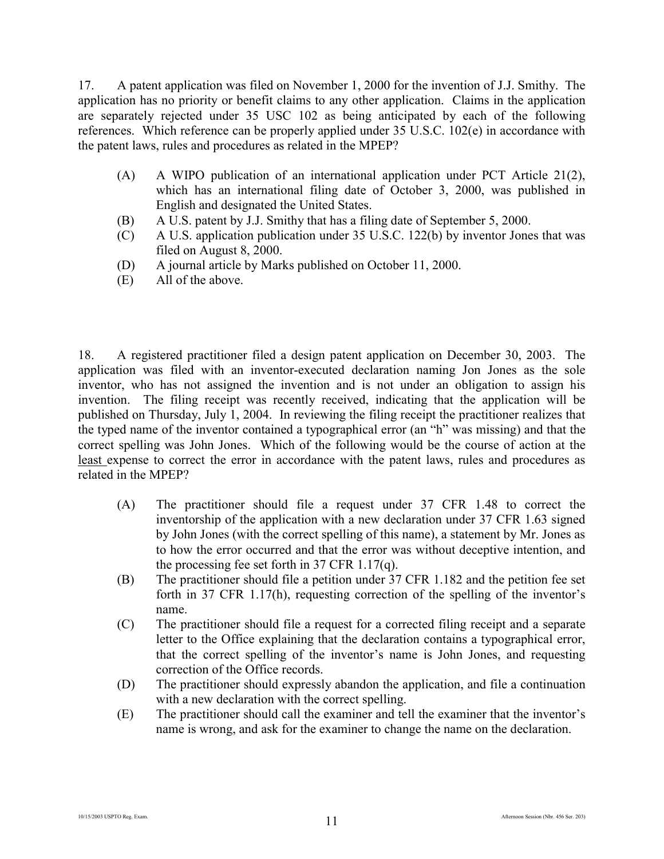17. A patent application was filed on November 1, 2000 for the invention of J.J. Smithy. The application has no priority or benefit claims to any other application. Claims in the application are separately rejected under 35 USC 102 as being anticipated by each of the following references. Which reference can be properly applied under 35 U.S.C. 102(e) in accordance with the patent laws, rules and procedures as related in the MPEP?

- (A) A WIPO publication of an international application under PCT Article 21(2), which has an international filing date of October 3, 2000, was published in English and designated the United States.
- (B) A U.S. patent by J.J. Smithy that has a filing date of September 5, 2000.
- (C) A U.S. application publication under 35 U.S.C. 122(b) by inventor Jones that was filed on August 8, 2000.
- (D) A journal article by Marks published on October 11, 2000.
- (E) All of the above.

18. A registered practitioner filed a design patent application on December 30, 2003. The application was filed with an inventor-executed declaration naming Jon Jones as the sole inventor, who has not assigned the invention and is not under an obligation to assign his invention. The filing receipt was recently received, indicating that the application will be published on Thursday, July 1, 2004. In reviewing the filing receipt the practitioner realizes that the typed name of the inventor contained a typographical error (an "h" was missing) and that the correct spelling was John Jones. Which of the following would be the course of action at the least expense to correct the error in accordance with the patent laws, rules and procedures as related in the MPEP?

- (A) The practitioner should file a request under 37 CFR 1.48 to correct the inventorship of the application with a new declaration under 37 CFR 1.63 signed by John Jones (with the correct spelling of this name), a statement by Mr. Jones as to how the error occurred and that the error was without deceptive intention, and the processing fee set forth in 37 CFR 1.17(q).
- (B) The practitioner should file a petition under 37 CFR 1.182 and the petition fee set forth in 37 CFR 1.17(h), requesting correction of the spelling of the inventor's name.
- (C) The practitioner should file a request for a corrected filing receipt and a separate letter to the Office explaining that the declaration contains a typographical error, that the correct spelling of the inventor's name is John Jones, and requesting correction of the Office records.
- (D) The practitioner should expressly abandon the application, and file a continuation with a new declaration with the correct spelling.
- (E) The practitioner should call the examiner and tell the examiner that the inventor's name is wrong, and ask for the examiner to change the name on the declaration.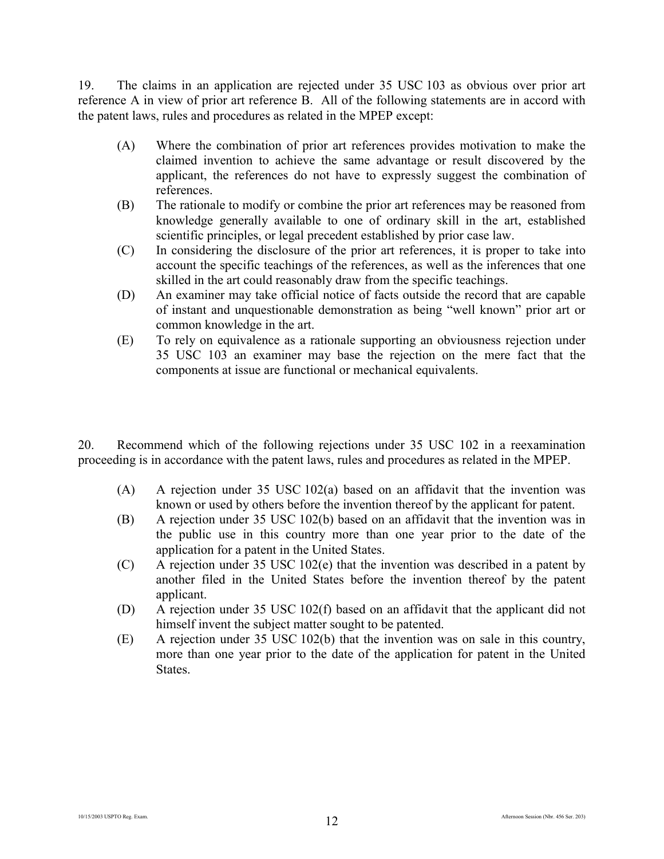19. The claims in an application are rejected under 35 USC 103 as obvious over prior art reference A in view of prior art reference B. All of the following statements are in accord with the patent laws, rules and procedures as related in the MPEP except:

- (A) Where the combination of prior art references provides motivation to make the claimed invention to achieve the same advantage or result discovered by the applicant, the references do not have to expressly suggest the combination of references.
- (B) The rationale to modify or combine the prior art references may be reasoned from knowledge generally available to one of ordinary skill in the art, established scientific principles, or legal precedent established by prior case law.
- (C) In considering the disclosure of the prior art references, it is proper to take into account the specific teachings of the references, as well as the inferences that one skilled in the art could reasonably draw from the specific teachings.
- (D) An examiner may take official notice of facts outside the record that are capable of instant and unquestionable demonstration as being "well known" prior art or common knowledge in the art.
- (E) To rely on equivalence as a rationale supporting an obviousness rejection under 35 USC 103 an examiner may base the rejection on the mere fact that the components at issue are functional or mechanical equivalents.

20. Recommend which of the following rejections under 35 USC 102 in a reexamination proceeding is in accordance with the patent laws, rules and procedures as related in the MPEP.

- (A) A rejection under 35 USC 102(a) based on an affidavit that the invention was known or used by others before the invention thereof by the applicant for patent.
- (B) A rejection under 35 USC 102(b) based on an affidavit that the invention was in the public use in this country more than one year prior to the date of the application for a patent in the United States.
- (C) A rejection under 35 USC 102(e) that the invention was described in a patent by another filed in the United States before the invention thereof by the patent applicant.
- (D) A rejection under 35 USC 102(f) based on an affidavit that the applicant did not himself invent the subject matter sought to be patented.
- (E) A rejection under 35 USC 102(b) that the invention was on sale in this country, more than one year prior to the date of the application for patent in the United States.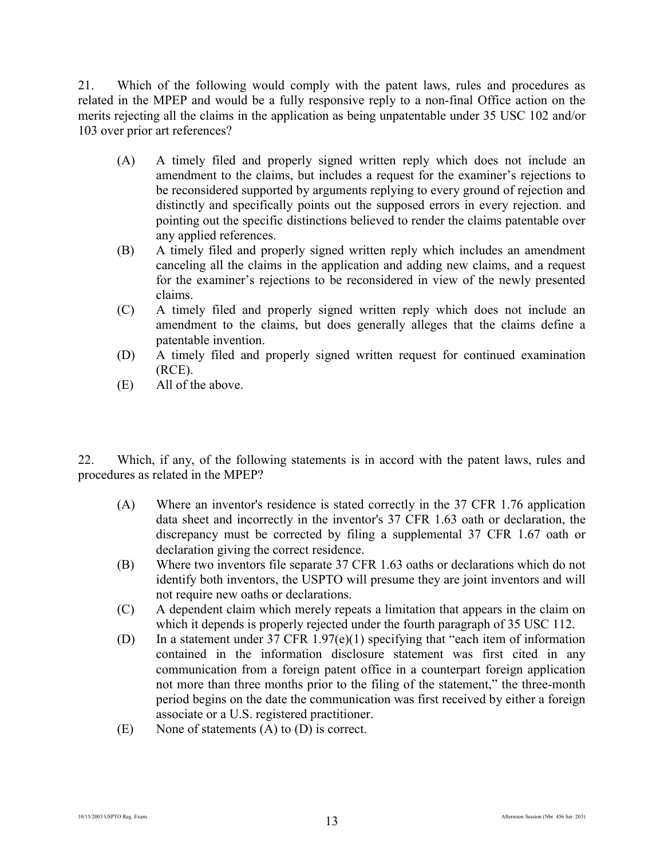21. Which of the following would comply with the patent laws, rules and procedures as related in the MPEP and would be a fully responsive reply to a non-final Office action on the merits rejecting all the claims in the application as being unpatentable under 35 USC 102 and/or 103 over prior art references?

- (A) A timely filed and properly signed written reply which does not include an amendment to the claims, but includes a request for the examiner's rejections to be reconsidered supported by arguments replying to every ground of rejection and distinctly and specifically points out the supposed errors in every rejection. and pointing out the specific distinctions believed to render the claims patentable over any applied references.
- (B) A timely filed and properly signed written reply which includes an amendment canceling all the claims in the application and adding new claims, and a request for the examiner's rejections to be reconsidered in view of the newly presented claims.
- (C) A timely filed and properly signed written reply which does not include an amendment to the claims, but does generally alleges that the claims define a patentable invention.
- (D) A timely filed and properly signed written request for continued examination (RCE).
- (E) All of the above.

22. Which, if any, of the following statements is in accord with the patent laws, rules and procedures as related in the MPEP?

- (A) Where an inventor's residence is stated correctly in the 37 CFR 1.76 application data sheet and incorrectly in the inventor's 37 CFR 1.63 oath or declaration, the discrepancy must be corrected by filing a supplemental 37 CFR 1.67 oath or declaration giving the correct residence.
- (B) Where two inventors file separate 37 CFR 1.63 oaths or declarations which do not identify both inventors, the USPTO will presume they are joint inventors and will not require new oaths or declarations.
- (C) A dependent claim which merely repeats a limitation that appears in the claim on which it depends is properly rejected under the fourth paragraph of 35 USC 112.
- (D) In a statement under 37 CFR 1.97(e)(1) specifying that "each item of information contained in the information disclosure statement was first cited in any communication from a foreign patent office in a counterpart foreign application not more than three months prior to the filing of the statement," the three-month period begins on the date the communication was first received by either a foreign associate or a U.S. registered practitioner.
- (E) None of statements (A) to (D) is correct.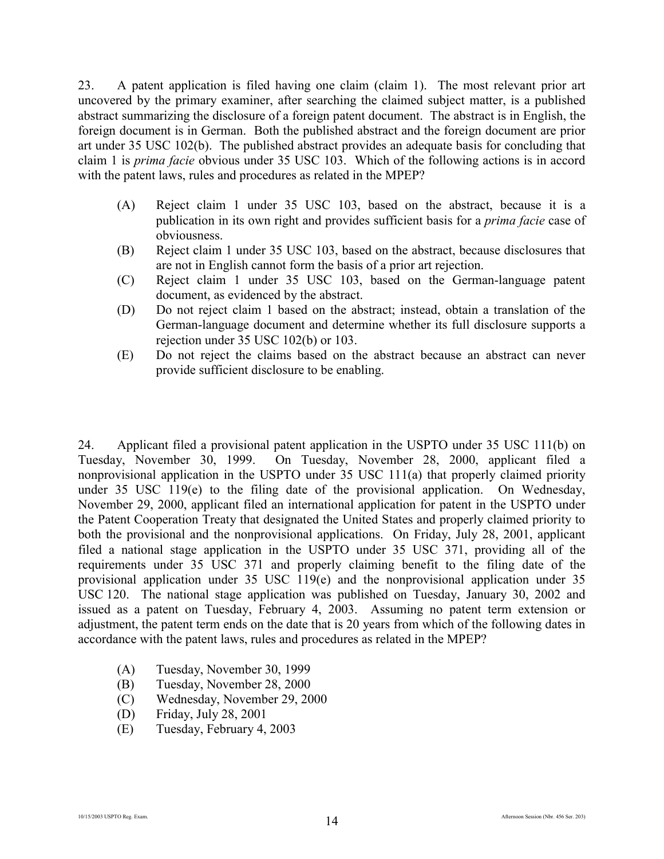23. A patent application is filed having one claim (claim 1). The most relevant prior art uncovered by the primary examiner, after searching the claimed subject matter, is a published abstract summarizing the disclosure of a foreign patent document. The abstract is in English, the foreign document is in German. Both the published abstract and the foreign document are prior art under 35 USC 102(b). The published abstract provides an adequate basis for concluding that claim 1 is *prima facie* obvious under 35 USC 103. Which of the following actions is in accord with the patent laws, rules and procedures as related in the MPEP?

- (A) Reject claim 1 under 35 USC 103, based on the abstract, because it is a publication in its own right and provides sufficient basis for a *prima facie* case of obviousness.
- (B) Reject claim 1 under 35 USC 103, based on the abstract, because disclosures that are not in English cannot form the basis of a prior art rejection.
- (C) Reject claim 1 under 35 USC 103, based on the German-language patent document, as evidenced by the abstract.
- (D) Do not reject claim 1 based on the abstract; instead, obtain a translation of the German-language document and determine whether its full disclosure supports a rejection under 35 USC 102(b) or 103.
- (E) Do not reject the claims based on the abstract because an abstract can never provide sufficient disclosure to be enabling.

24. Applicant filed a provisional patent application in the USPTO under 35 USC 111(b) on Tuesday, November 30, 1999. On Tuesday, November 28, 2000, applicant filed a nonprovisional application in the USPTO under 35 USC 111(a) that properly claimed priority under 35 USC  $119(e)$  to the filing date of the provisional application. On Wednesday, November 29, 2000, applicant filed an international application for patent in the USPTO under the Patent Cooperation Treaty that designated the United States and properly claimed priority to both the provisional and the nonprovisional applications. On Friday, July 28, 2001, applicant filed a national stage application in the USPTO under 35 USC 371, providing all of the requirements under 35 USC 371 and properly claiming benefit to the filing date of the provisional application under 35 USC 119(e) and the nonprovisional application under 35 USC 120. The national stage application was published on Tuesday, January 30, 2002 and issued as a patent on Tuesday, February 4, 2003. Assuming no patent term extension or adjustment, the patent term ends on the date that is 20 years from which of the following dates in accordance with the patent laws, rules and procedures as related in the MPEP?

- (A) Tuesday, November 30, 1999
- (B) Tuesday, November 28, 2000
- (C) Wednesday, November 29, 2000
- (D) Friday, July 28, 2001
- (E) Tuesday, February 4, 2003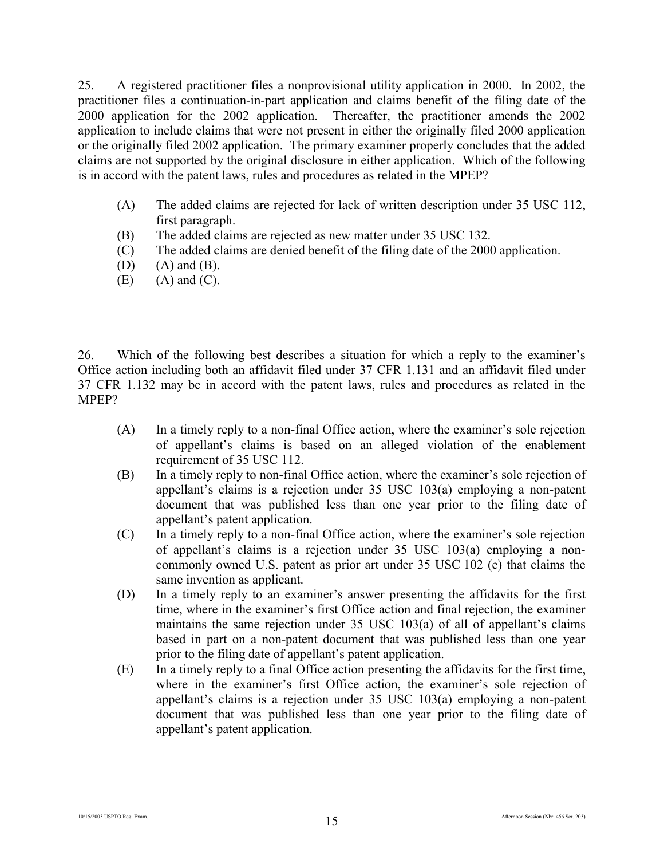25. A registered practitioner files a nonprovisional utility application in 2000. In 2002, the practitioner files a continuation-in-part application and claims benefit of the filing date of the 2000 application for the 2002 application. Thereafter, the practitioner amends the 2002 application to include claims that were not present in either the originally filed 2000 application or the originally filed 2002 application. The primary examiner properly concludes that the added claims are not supported by the original disclosure in either application. Which of the following is in accord with the patent laws, rules and procedures as related in the MPEP?

- (A) The added claims are rejected for lack of written description under 35 USC 112, first paragraph.
- (B) The added claims are rejected as new matter under 35 USC 132.
- (C) The added claims are denied benefit of the filing date of the 2000 application.
- $(D)$   $(A)$  and  $(B)$ .
- $(E)$   $(A)$  and  $(C)$ .

26. Which of the following best describes a situation for which a reply to the examiner's Office action including both an affidavit filed under 37 CFR 1.131 and an affidavit filed under 37 CFR 1.132 may be in accord with the patent laws, rules and procedures as related in the MPEP?

- (A) In a timely reply to a non-final Office action, where the examiner's sole rejection of appellant's claims is based on an alleged violation of the enablement requirement of 35 USC 112.
- (B) In a timely reply to non-final Office action, where the examiner's sole rejection of appellant's claims is a rejection under 35 USC 103(a) employing a non-patent document that was published less than one year prior to the filing date of appellant's patent application.
- (C) In a timely reply to a non-final Office action, where the examiner's sole rejection of appellant's claims is a rejection under 35 USC 103(a) employing a noncommonly owned U.S. patent as prior art under 35 USC 102 (e) that claims the same invention as applicant.
- (D) In a timely reply to an examiner's answer presenting the affidavits for the first time, where in the examiner's first Office action and final rejection, the examiner maintains the same rejection under 35 USC 103(a) of all of appellant's claims based in part on a non-patent document that was published less than one year prior to the filing date of appellant's patent application.
- (E) In a timely reply to a final Office action presenting the affidavits for the first time, where in the examiner's first Office action, the examiner's sole rejection of appellant's claims is a rejection under 35 USC 103(a) employing a non-patent document that was published less than one year prior to the filing date of appellant's patent application.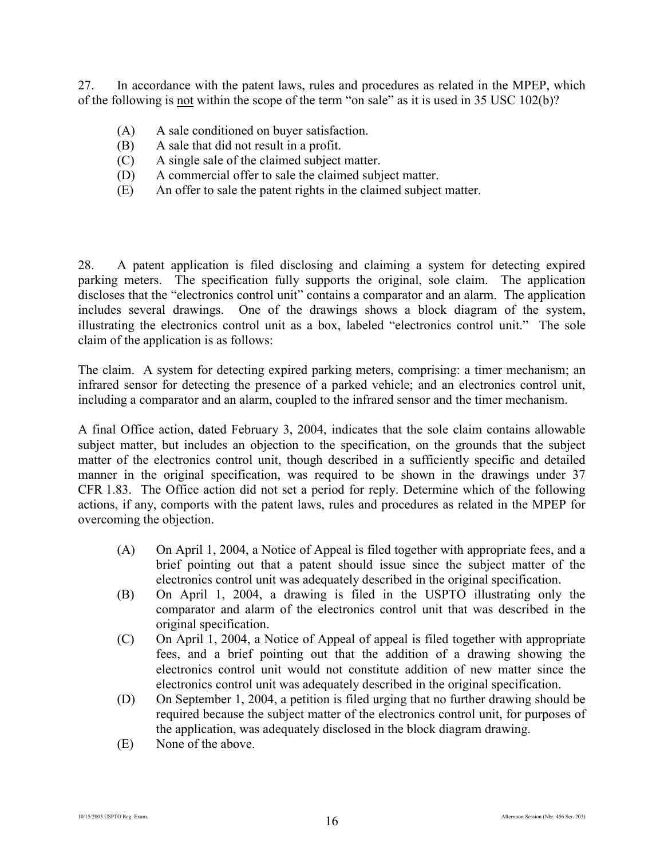27. In accordance with the patent laws, rules and procedures as related in the MPEP, which of the following is not within the scope of the term "on sale" as it is used in 35 USC 102(b)?

- (A) A sale conditioned on buyer satisfaction.
- (B) A sale that did not result in a profit.
- (C) A single sale of the claimed subject matter.
- (D) A commercial offer to sale the claimed subject matter.
- (E) An offer to sale the patent rights in the claimed subject matter.

28. A patent application is filed disclosing and claiming a system for detecting expired parking meters. The specification fully supports the original, sole claim. The application discloses that the "electronics control unit" contains a comparator and an alarm. The application includes several drawings. One of the drawings shows a block diagram of the system, illustrating the electronics control unit as a box, labeled "electronics control unit." The sole claim of the application is as follows:

The claim. A system for detecting expired parking meters, comprising: a timer mechanism; an infrared sensor for detecting the presence of a parked vehicle; and an electronics control unit, including a comparator and an alarm, coupled to the infrared sensor and the timer mechanism.

A final Office action, dated February 3, 2004, indicates that the sole claim contains allowable subject matter, but includes an objection to the specification, on the grounds that the subject matter of the electronics control unit, though described in a sufficiently specific and detailed manner in the original specification, was required to be shown in the drawings under 37 CFR 1.83. The Office action did not set a period for reply. Determine which of the following actions, if any, comports with the patent laws, rules and procedures as related in the MPEP for overcoming the objection.

- (A) On April 1, 2004, a Notice of Appeal is filed together with appropriate fees, and a brief pointing out that a patent should issue since the subject matter of the electronics control unit was adequately described in the original specification.
- (B) On April 1, 2004, a drawing is filed in the USPTO illustrating only the comparator and alarm of the electronics control unit that was described in the original specification.
- (C) On April 1, 2004, a Notice of Appeal of appeal is filed together with appropriate fees, and a brief pointing out that the addition of a drawing showing the electronics control unit would not constitute addition of new matter since the electronics control unit was adequately described in the original specification.
- (D) On September 1, 2004, a petition is filed urging that no further drawing should be required because the subject matter of the electronics control unit, for purposes of the application, was adequately disclosed in the block diagram drawing.
- (E) None of the above.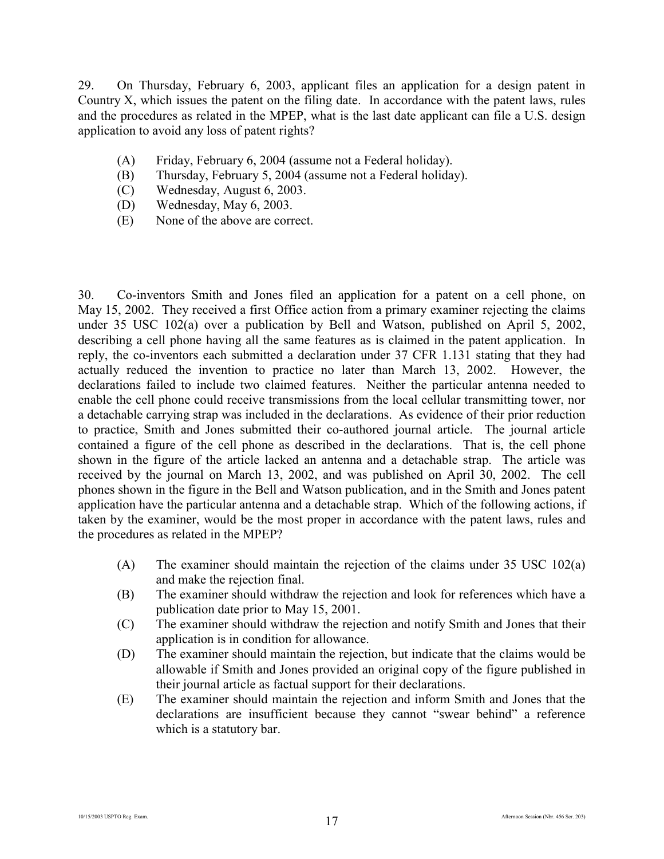29. On Thursday, February 6, 2003, applicant files an application for a design patent in Country X, which issues the patent on the filing date. In accordance with the patent laws, rules and the procedures as related in the MPEP, what is the last date applicant can file a U.S. design application to avoid any loss of patent rights?

- (A) Friday, February 6, 2004 (assume not a Federal holiday).
- (B) Thursday, February 5, 2004 (assume not a Federal holiday).
- (C) Wednesday, August 6, 2003.
- (D) Wednesday, May 6, 2003.
- (E) None of the above are correct.

30. Co-inventors Smith and Jones filed an application for a patent on a cell phone, on May 15, 2002. They received a first Office action from a primary examiner rejecting the claims under 35 USC 102(a) over a publication by Bell and Watson, published on April 5, 2002, describing a cell phone having all the same features as is claimed in the patent application. In reply, the co-inventors each submitted a declaration under 37 CFR 1.131 stating that they had actually reduced the invention to practice no later than March 13, 2002. However, the declarations failed to include two claimed features. Neither the particular antenna needed to enable the cell phone could receive transmissions from the local cellular transmitting tower, nor a detachable carrying strap was included in the declarations. As evidence of their prior reduction to practice, Smith and Jones submitted their co-authored journal article. The journal article contained a figure of the cell phone as described in the declarations. That is, the cell phone shown in the figure of the article lacked an antenna and a detachable strap. The article was received by the journal on March 13, 2002, and was published on April 30, 2002. The cell phones shown in the figure in the Bell and Watson publication, and in the Smith and Jones patent application have the particular antenna and a detachable strap. Which of the following actions, if taken by the examiner, would be the most proper in accordance with the patent laws, rules and the procedures as related in the MPEP?

- (A) The examiner should maintain the rejection of the claims under 35 USC 102(a) and make the rejection final.
- (B) The examiner should withdraw the rejection and look for references which have a publication date prior to May 15, 2001.
- (C) The examiner should withdraw the rejection and notify Smith and Jones that their application is in condition for allowance.
- (D) The examiner should maintain the rejection, but indicate that the claims would be allowable if Smith and Jones provided an original copy of the figure published in their journal article as factual support for their declarations.
- (E) The examiner should maintain the rejection and inform Smith and Jones that the declarations are insufficient because they cannot "swear behind" a reference which is a statutory bar.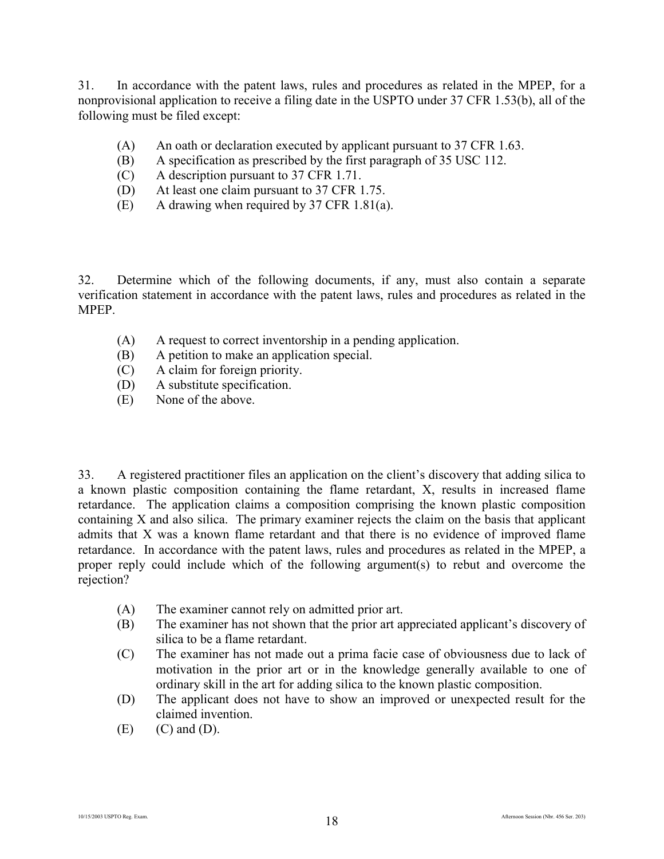31. In accordance with the patent laws, rules and procedures as related in the MPEP, for a nonprovisional application to receive a filing date in the USPTO under 37 CFR 1.53(b), all of the following must be filed except:

- (A) An oath or declaration executed by applicant pursuant to 37 CFR 1.63.
- (B) A specification as prescribed by the first paragraph of 35 USC 112.
- (C) A description pursuant to 37 CFR 1.71.
- (D) At least one claim pursuant to 37 CFR 1.75.
- (E) A drawing when required by 37 CFR 1.81(a).

32. Determine which of the following documents, if any, must also contain a separate verification statement in accordance with the patent laws, rules and procedures as related in the MPEP.

- (A) A request to correct inventorship in a pending application.
- (B) A petition to make an application special.
- (C) A claim for foreign priority.
- (D) A substitute specification.
- (E) None of the above.

33. A registered practitioner files an application on the client's discovery that adding silica to a known plastic composition containing the flame retardant, X, results in increased flame retardance. The application claims a composition comprising the known plastic composition containing X and also silica. The primary examiner rejects the claim on the basis that applicant admits that X was a known flame retardant and that there is no evidence of improved flame retardance. In accordance with the patent laws, rules and procedures as related in the MPEP, a proper reply could include which of the following argument(s) to rebut and overcome the rejection?

- (A) The examiner cannot rely on admitted prior art.
- (B) The examiner has not shown that the prior art appreciated applicant's discovery of silica to be a flame retardant.
- (C) The examiner has not made out a prima facie case of obviousness due to lack of motivation in the prior art or in the knowledge generally available to one of ordinary skill in the art for adding silica to the known plastic composition.
- (D) The applicant does not have to show an improved or unexpected result for the claimed invention.
- $(E)$   $(C)$  and  $(D)$ .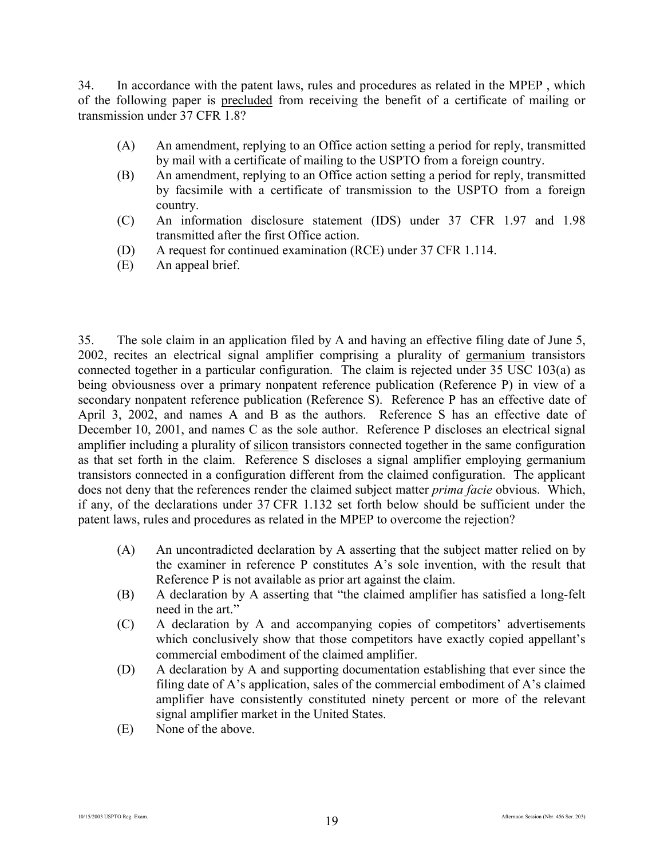34. In accordance with the patent laws, rules and procedures as related in the MPEP , which of the following paper is precluded from receiving the benefit of a certificate of mailing or transmission under 37 CFR 1.8?

- (A) An amendment, replying to an Office action setting a period for reply, transmitted by mail with a certificate of mailing to the USPTO from a foreign country.
- (B) An amendment, replying to an Office action setting a period for reply, transmitted by facsimile with a certificate of transmission to the USPTO from a foreign country.
- (C) An information disclosure statement (IDS) under 37 CFR 1.97 and 1.98 transmitted after the first Office action.
- (D) A request for continued examination (RCE) under 37 CFR 1.114.
- (E) An appeal brief.

35. The sole claim in an application filed by A and having an effective filing date of June 5, 2002, recites an electrical signal amplifier comprising a plurality of germanium transistors connected together in a particular configuration. The claim is rejected under 35 USC 103(a) as being obviousness over a primary nonpatent reference publication (Reference P) in view of a secondary nonpatent reference publication (Reference S). Reference P has an effective date of April 3, 2002, and names A and B as the authors. Reference S has an effective date of December 10, 2001, and names C as the sole author. Reference P discloses an electrical signal amplifier including a plurality of silicon transistors connected together in the same configuration as that set forth in the claim. Reference S discloses a signal amplifier employing germanium transistors connected in a configuration different from the claimed configuration. The applicant does not deny that the references render the claimed subject matter *prima facie* obvious. Which, if any, of the declarations under 37 CFR 1.132 set forth below should be sufficient under the patent laws, rules and procedures as related in the MPEP to overcome the rejection?

- (A) An uncontradicted declaration by A asserting that the subject matter relied on by the examiner in reference P constitutes A's sole invention, with the result that Reference P is not available as prior art against the claim.
- (B) A declaration by A asserting that "the claimed amplifier has satisfied a long-felt need in the art."
- (C) A declaration by A and accompanying copies of competitors' advertisements which conclusively show that those competitors have exactly copied appellant's commercial embodiment of the claimed amplifier.
- (D) A declaration by A and supporting documentation establishing that ever since the filing date of A's application, sales of the commercial embodiment of A's claimed amplifier have consistently constituted ninety percent or more of the relevant signal amplifier market in the United States.
- (E) None of the above.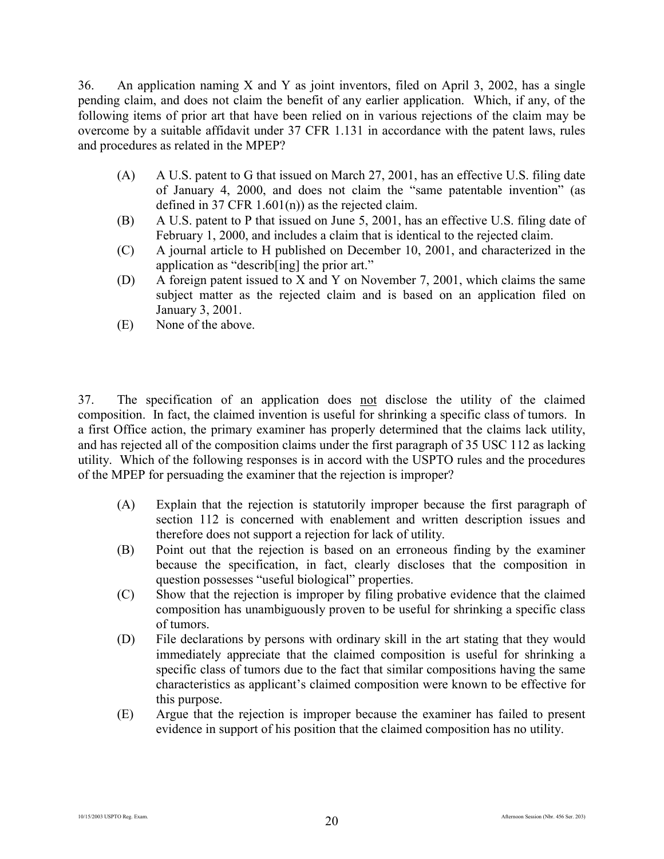36. An application naming X and Y as joint inventors, filed on April 3, 2002, has a single pending claim, and does not claim the benefit of any earlier application. Which, if any, of the following items of prior art that have been relied on in various rejections of the claim may be overcome by a suitable affidavit under 37 CFR 1.131 in accordance with the patent laws, rules and procedures as related in the MPEP?

- (A) A U.S. patent to G that issued on March 27, 2001, has an effective U.S. filing date of January 4, 2000, and does not claim the "same patentable invention" (as defined in 37 CFR  $1.601(n)$  as the rejected claim.
- (B) A U.S. patent to P that issued on June 5, 2001, has an effective U.S. filing date of February 1, 2000, and includes a claim that is identical to the rejected claim.
- (C) A journal article to H published on December 10, 2001, and characterized in the application as "describ[ing] the prior art."
- (D) A foreign patent issued to X and Y on November 7, 2001, which claims the same subject matter as the rejected claim and is based on an application filed on January 3, 2001.
- (E) None of the above.

37. The specification of an application does not disclose the utility of the claimed composition. In fact, the claimed invention is useful for shrinking a specific class of tumors. In a first Office action, the primary examiner has properly determined that the claims lack utility, and has rejected all of the composition claims under the first paragraph of 35 USC 112 as lacking utility. Which of the following responses is in accord with the USPTO rules and the procedures of the MPEP for persuading the examiner that the rejection is improper?

- (A) Explain that the rejection is statutorily improper because the first paragraph of section 112 is concerned with enablement and written description issues and therefore does not support a rejection for lack of utility.
- (B) Point out that the rejection is based on an erroneous finding by the examiner because the specification, in fact, clearly discloses that the composition in question possesses "useful biological" properties.
- (C) Show that the rejection is improper by filing probative evidence that the claimed composition has unambiguously proven to be useful for shrinking a specific class of tumors.
- (D) File declarations by persons with ordinary skill in the art stating that they would immediately appreciate that the claimed composition is useful for shrinking a specific class of tumors due to the fact that similar compositions having the same characteristics as applicant's claimed composition were known to be effective for this purpose.
- (E) Argue that the rejection is improper because the examiner has failed to present evidence in support of his position that the claimed composition has no utility.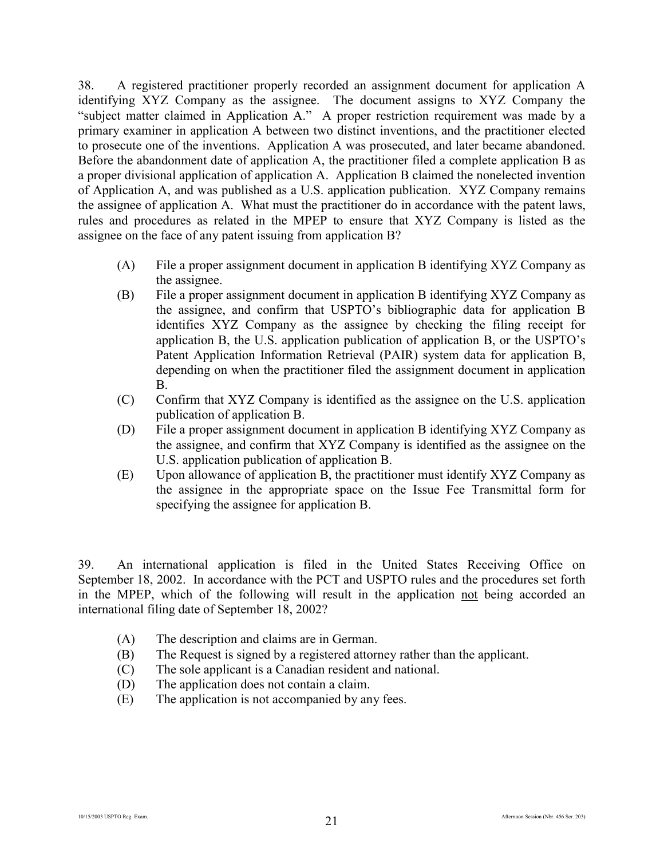38. A registered practitioner properly recorded an assignment document for application A identifying XYZ Company as the assignee. The document assigns to XYZ Company the "subject matter claimed in Application A." A proper restriction requirement was made by a primary examiner in application A between two distinct inventions, and the practitioner elected to prosecute one of the inventions. Application A was prosecuted, and later became abandoned. Before the abandonment date of application A, the practitioner filed a complete application B as a proper divisional application of application A. Application B claimed the nonelected invention of Application A, and was published as a U.S. application publication. XYZ Company remains the assignee of application A. What must the practitioner do in accordance with the patent laws, rules and procedures as related in the MPEP to ensure that XYZ Company is listed as the assignee on the face of any patent issuing from application B?

- (A) File a proper assignment document in application B identifying XYZ Company as the assignee.
- (B) File a proper assignment document in application B identifying XYZ Company as the assignee, and confirm that USPTO's bibliographic data for application B identifies XYZ Company as the assignee by checking the filing receipt for application B, the U.S. application publication of application B, or the USPTO's Patent Application Information Retrieval (PAIR) system data for application B, depending on when the practitioner filed the assignment document in application B.
- (C) Confirm that XYZ Company is identified as the assignee on the U.S. application publication of application B.
- (D) File a proper assignment document in application B identifying XYZ Company as the assignee, and confirm that XYZ Company is identified as the assignee on the U.S. application publication of application B.
- (E) Upon allowance of application B, the practitioner must identify XYZ Company as the assignee in the appropriate space on the Issue Fee Transmittal form for specifying the assignee for application B.

39. An international application is filed in the United States Receiving Office on September 18, 2002. In accordance with the PCT and USPTO rules and the procedures set forth in the MPEP, which of the following will result in the application not being accorded an international filing date of September 18, 2002?

- (A) The description and claims are in German.
- (B) The Request is signed by a registered attorney rather than the applicant.
- (C) The sole applicant is a Canadian resident and national.
- (D) The application does not contain a claim.
- (E) The application is not accompanied by any fees.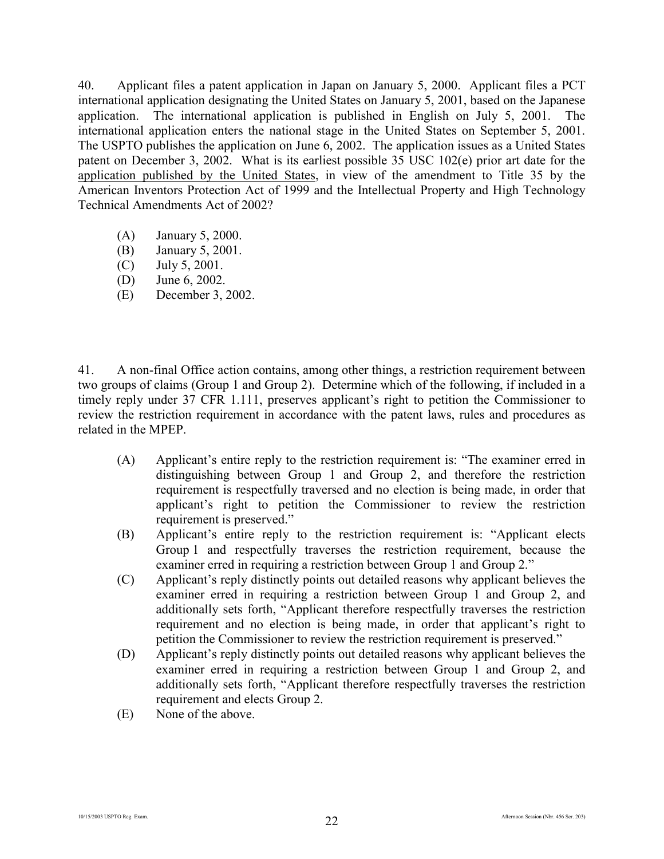40. Applicant files a patent application in Japan on January 5, 2000. Applicant files a PCT international application designating the United States on January 5, 2001, based on the Japanese application. The international application is published in English on July 5, 2001. The international application enters the national stage in the United States on September 5, 2001. The USPTO publishes the application on June 6, 2002. The application issues as a United States patent on December 3, 2002. What is its earliest possible 35 USC 102(e) prior art date for the application published by the United States, in view of the amendment to Title 35 by the American Inventors Protection Act of 1999 and the Intellectual Property and High Technology Technical Amendments Act of 2002?

- (A) January 5, 2000.
- (B) January 5, 2001.
- (C) July 5, 2001.
- (D) June 6, 2002.
- (E) December 3, 2002.

41. A non-final Office action contains, among other things, a restriction requirement between two groups of claims (Group 1 and Group 2). Determine which of the following, if included in a timely reply under 37 CFR 1.111, preserves applicant's right to petition the Commissioner to review the restriction requirement in accordance with the patent laws, rules and procedures as related in the MPEP.

- (A) Applicant's entire reply to the restriction requirement is: "The examiner erred in distinguishing between Group 1 and Group 2, and therefore the restriction requirement is respectfully traversed and no election is being made, in order that applicant's right to petition the Commissioner to review the restriction requirement is preserved."
- (B) Applicant's entire reply to the restriction requirement is: "Applicant elects Group 1 and respectfully traverses the restriction requirement, because the examiner erred in requiring a restriction between Group 1 and Group 2."
- (C) Applicant's reply distinctly points out detailed reasons why applicant believes the examiner erred in requiring a restriction between Group 1 and Group 2, and additionally sets forth, "Applicant therefore respectfully traverses the restriction requirement and no election is being made, in order that applicant's right to petition the Commissioner to review the restriction requirement is preserved."
- (D) Applicant's reply distinctly points out detailed reasons why applicant believes the examiner erred in requiring a restriction between Group 1 and Group 2, and additionally sets forth, "Applicant therefore respectfully traverses the restriction requirement and elects Group 2.
- (E) None of the above.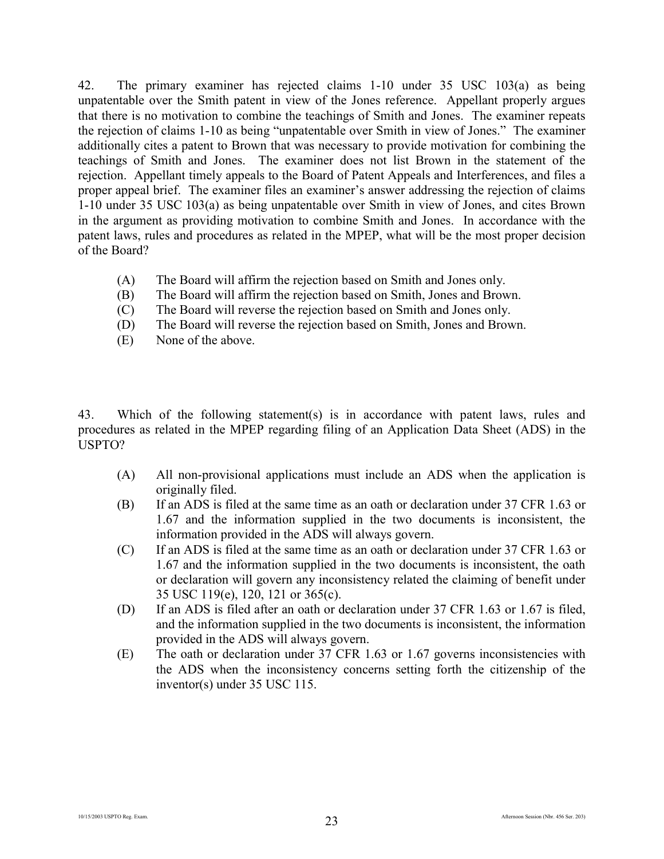42. The primary examiner has rejected claims 1-10 under 35 USC 103(a) as being unpatentable over the Smith patent in view of the Jones reference. Appellant properly argues that there is no motivation to combine the teachings of Smith and Jones. The examiner repeats the rejection of claims 1-10 as being "unpatentable over Smith in view of Jones." The examiner additionally cites a patent to Brown that was necessary to provide motivation for combining the teachings of Smith and Jones. The examiner does not list Brown in the statement of the rejection. Appellant timely appeals to the Board of Patent Appeals and Interferences, and files a proper appeal brief. The examiner files an examiner's answer addressing the rejection of claims 1-10 under 35 USC 103(a) as being unpatentable over Smith in view of Jones, and cites Brown in the argument as providing motivation to combine Smith and Jones. In accordance with the patent laws, rules and procedures as related in the MPEP, what will be the most proper decision of the Board?

- (A) The Board will affirm the rejection based on Smith and Jones only.
- (B) The Board will affirm the rejection based on Smith, Jones and Brown.
- (C) The Board will reverse the rejection based on Smith and Jones only.
- (D) The Board will reverse the rejection based on Smith, Jones and Brown.
- (E) None of the above.

43. Which of the following statement(s) is in accordance with patent laws, rules and procedures as related in the MPEP regarding filing of an Application Data Sheet (ADS) in the USPTO?

- (A) All non-provisional applications must include an ADS when the application is originally filed.
- (B) If an ADS is filed at the same time as an oath or declaration under 37 CFR 1.63 or 1.67 and the information supplied in the two documents is inconsistent, the information provided in the ADS will always govern.
- (C) If an ADS is filed at the same time as an oath or declaration under 37 CFR 1.63 or 1.67 and the information supplied in the two documents is inconsistent, the oath or declaration will govern any inconsistency related the claiming of benefit under 35 USC 119(e), 120, 121 or 365(c).
- (D) If an ADS is filed after an oath or declaration under 37 CFR 1.63 or 1.67 is filed, and the information supplied in the two documents is inconsistent, the information provided in the ADS will always govern.
- (E) The oath or declaration under 37 CFR 1.63 or 1.67 governs inconsistencies with the ADS when the inconsistency concerns setting forth the citizenship of the inventor(s) under 35 USC 115.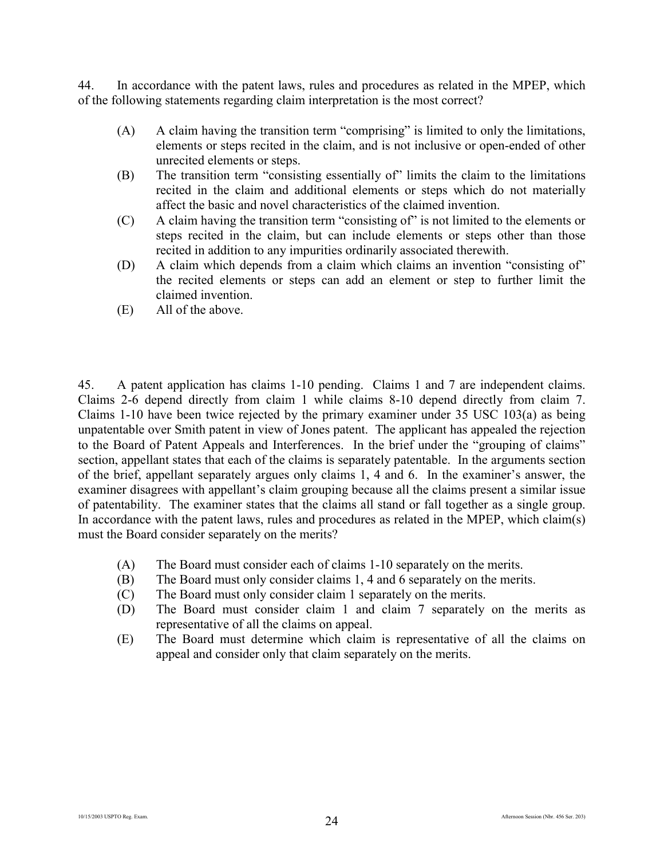44. In accordance with the patent laws, rules and procedures as related in the MPEP, which of the following statements regarding claim interpretation is the most correct?

- (A) A claim having the transition term "comprising" is limited to only the limitations, elements or steps recited in the claim, and is not inclusive or open-ended of other unrecited elements or steps.
- (B) The transition term "consisting essentially of" limits the claim to the limitations recited in the claim and additional elements or steps which do not materially affect the basic and novel characteristics of the claimed invention.
- (C) A claim having the transition term "consisting of" is not limited to the elements or steps recited in the claim, but can include elements or steps other than those recited in addition to any impurities ordinarily associated therewith.
- (D) A claim which depends from a claim which claims an invention "consisting of" the recited elements or steps can add an element or step to further limit the claimed invention.
- (E) All of the above.

45. A patent application has claims 1-10 pending. Claims 1 and 7 are independent claims. Claims 2-6 depend directly from claim 1 while claims 8-10 depend directly from claim 7. Claims 1-10 have been twice rejected by the primary examiner under 35 USC 103(a) as being unpatentable over Smith patent in view of Jones patent. The applicant has appealed the rejection to the Board of Patent Appeals and Interferences. In the brief under the "grouping of claims" section, appellant states that each of the claims is separately patentable. In the arguments section of the brief, appellant separately argues only claims 1, 4 and 6. In the examiner's answer, the examiner disagrees with appellant's claim grouping because all the claims present a similar issue of patentability. The examiner states that the claims all stand or fall together as a single group. In accordance with the patent laws, rules and procedures as related in the MPEP, which claim(s) must the Board consider separately on the merits?

- (A) The Board must consider each of claims 1-10 separately on the merits.
- (B) The Board must only consider claims 1, 4 and 6 separately on the merits.
- (C) The Board must only consider claim 1 separately on the merits.
- (D) The Board must consider claim 1 and claim 7 separately on the merits as representative of all the claims on appeal.
- (E) The Board must determine which claim is representative of all the claims on appeal and consider only that claim separately on the merits.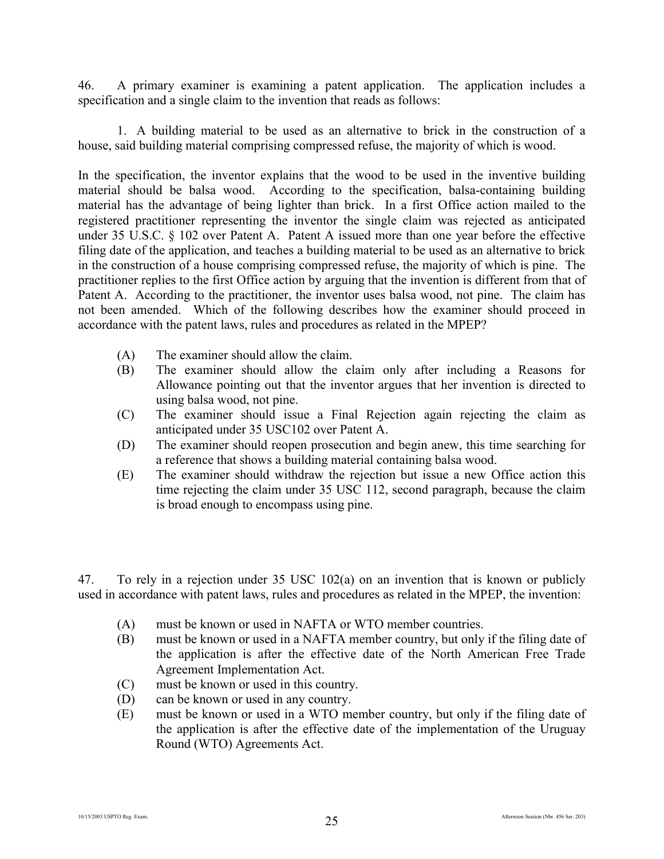46. A primary examiner is examining a patent application. The application includes a specification and a single claim to the invention that reads as follows:

 1. A building material to be used as an alternative to brick in the construction of a house, said building material comprising compressed refuse, the majority of which is wood.

In the specification, the inventor explains that the wood to be used in the inventive building material should be balsa wood. According to the specification, balsa-containing building material has the advantage of being lighter than brick. In a first Office action mailed to the registered practitioner representing the inventor the single claim was rejected as anticipated under 35 U.S.C. § 102 over Patent A. Patent A issued more than one year before the effective filing date of the application, and teaches a building material to be used as an alternative to brick in the construction of a house comprising compressed refuse, the majority of which is pine. The practitioner replies to the first Office action by arguing that the invention is different from that of Patent A. According to the practitioner, the inventor uses balsa wood, not pine. The claim has not been amended. Which of the following describes how the examiner should proceed in accordance with the patent laws, rules and procedures as related in the MPEP?

- (A) The examiner should allow the claim.
- (B) The examiner should allow the claim only after including a Reasons for Allowance pointing out that the inventor argues that her invention is directed to using balsa wood, not pine.
- (C) The examiner should issue a Final Rejection again rejecting the claim as anticipated under 35 USC102 over Patent A.
- (D) The examiner should reopen prosecution and begin anew, this time searching for a reference that shows a building material containing balsa wood.
- (E) The examiner should withdraw the rejection but issue a new Office action this time rejecting the claim under 35 USC 112, second paragraph, because the claim is broad enough to encompass using pine.

47. To rely in a rejection under 35 USC 102(a) on an invention that is known or publicly used in accordance with patent laws, rules and procedures as related in the MPEP, the invention:

- (A) must be known or used in NAFTA or WTO member countries.
- (B) must be known or used in a NAFTA member country, but only if the filing date of the application is after the effective date of the North American Free Trade Agreement Implementation Act.
- (C) must be known or used in this country.
- (D) can be known or used in any country.
- (E) must be known or used in a WTO member country, but only if the filing date of the application is after the effective date of the implementation of the Uruguay Round (WTO) Agreements Act.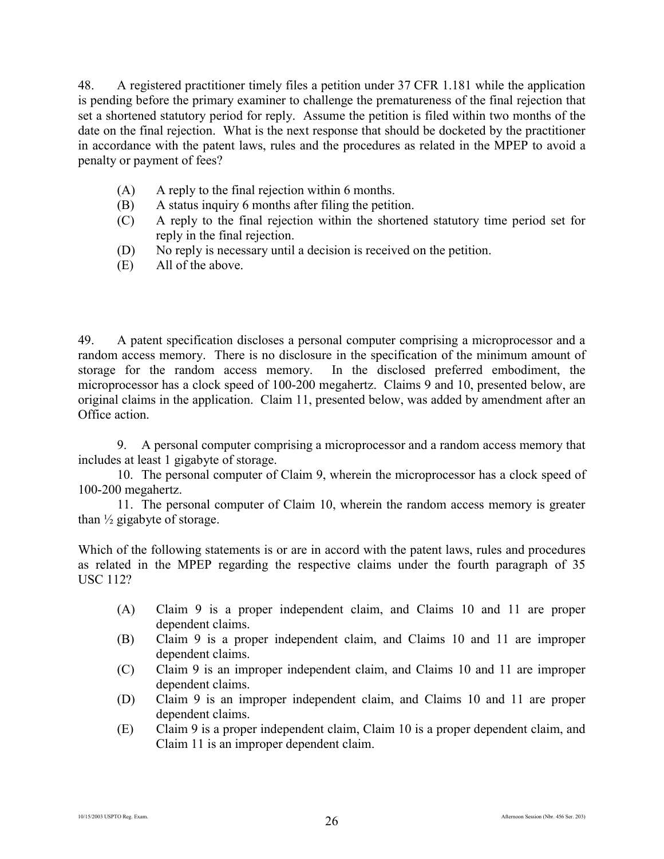48. A registered practitioner timely files a petition under 37 CFR 1.181 while the application is pending before the primary examiner to challenge the prematureness of the final rejection that set a shortened statutory period for reply. Assume the petition is filed within two months of the date on the final rejection. What is the next response that should be docketed by the practitioner in accordance with the patent laws, rules and the procedures as related in the MPEP to avoid a penalty or payment of fees?

- (A) A reply to the final rejection within 6 months.
- (B) A status inquiry 6 months after filing the petition.
- (C) A reply to the final rejection within the shortened statutory time period set for reply in the final rejection.
- (D) No reply is necessary until a decision is received on the petition.
- (E) All of the above.

49. A patent specification discloses a personal computer comprising a microprocessor and a random access memory. There is no disclosure in the specification of the minimum amount of storage for the random access memory. In the disclosed preferred embodiment, the microprocessor has a clock speed of 100-200 megahertz. Claims 9 and 10, presented below, are original claims in the application. Claim 11, presented below, was added by amendment after an Office action.

9. A personal computer comprising a microprocessor and a random access memory that includes at least 1 gigabyte of storage.

10. The personal computer of Claim 9, wherein the microprocessor has a clock speed of 100-200 megahertz.

11. The personal computer of Claim 10, wherein the random access memory is greater than  $\frac{1}{2}$  gigabyte of storage.

Which of the following statements is or are in accord with the patent laws, rules and procedures as related in the MPEP regarding the respective claims under the fourth paragraph of 35 USC 112?

- (A) Claim 9 is a proper independent claim, and Claims 10 and 11 are proper dependent claims.
- (B) Claim 9 is a proper independent claim, and Claims 10 and 11 are improper dependent claims.
- (C) Claim 9 is an improper independent claim, and Claims 10 and 11 are improper dependent claims.
- (D) Claim 9 is an improper independent claim, and Claims 10 and 11 are proper dependent claims.
- (E) Claim 9 is a proper independent claim, Claim 10 is a proper dependent claim, and Claim 11 is an improper dependent claim.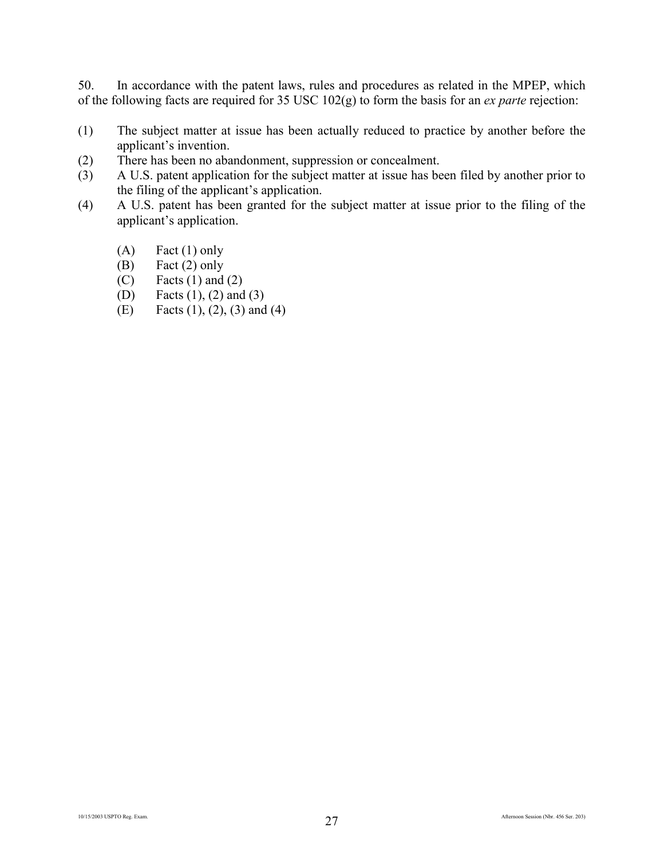50. In accordance with the patent laws, rules and procedures as related in the MPEP, which of the following facts are required for 35 USC 102(g) to form the basis for an *ex parte* rejection:

- (1) The subject matter at issue has been actually reduced to practice by another before the applicant's invention.
- (2) There has been no abandonment, suppression or concealment.
- (3) A U.S. patent application for the subject matter at issue has been filed by another prior to the filing of the applicant's application.
- (4) A U.S. patent has been granted for the subject matter at issue prior to the filing of the applicant's application.
	- $(A)$  Fact  $(1)$  only
	- (B) Fact (2) only
	- $(C)$  Facts  $(1)$  and  $(2)$
	- (D) Facts  $(1)$ ,  $(2)$  and  $(3)$
	- (E) Facts  $(1)$ ,  $(2)$ ,  $(3)$  and  $(4)$